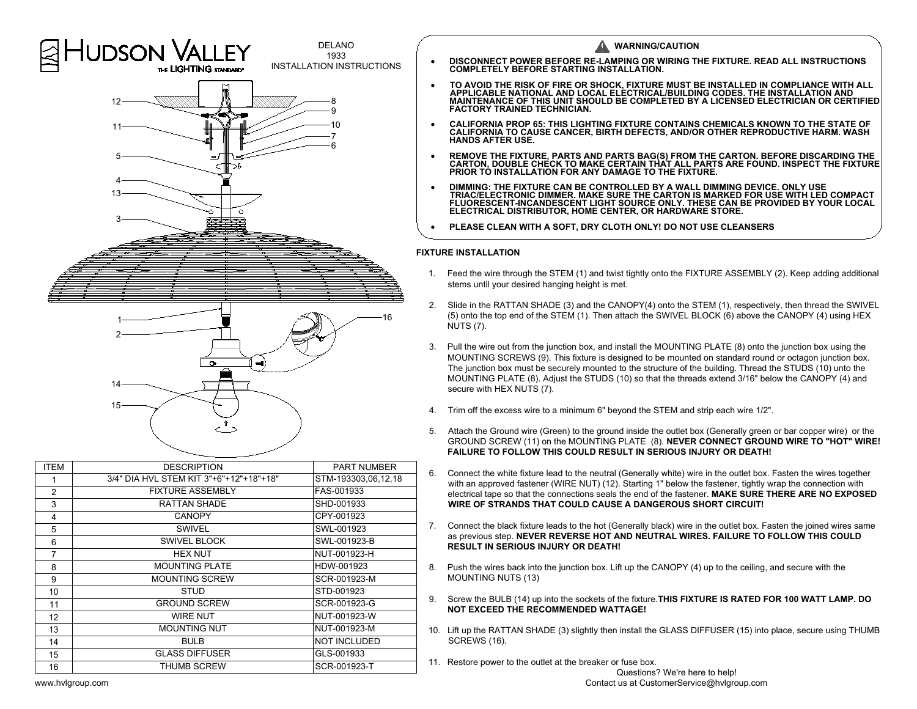



| <b>ITEM</b>    | <b>DESCRIPTION</b>                      | <b>PART NUMBER</b>  |
|----------------|-----------------------------------------|---------------------|
| 1              | 3/4" DIA HVL STEM KIT 3"+6"+12"+18"+18" | STM-193303,06,12,18 |
| $\overline{2}$ | <b>FIXTURE ASSEMBLY</b>                 | FAS-001933          |
| 3              | RATTAN SHADE                            | SHD-001933          |
| 4              | <b>CANOPY</b>                           | CPY-001923          |
| 5              | <b>SWIVEL</b>                           | SWL-001923          |
| 6              | SWIVEL BLOCK                            | SWL-001923-B        |
| 7              | <b>HEX NUT</b>                          | NUT-001923-H        |
| 8              | <b>MOUNTING PLATE</b>                   | HDW-001923          |
| 9              | <b>MOUNTING SCREW</b>                   | SCR-001923-M        |
| 10             | <b>STUD</b>                             | STD-001923          |
| 11             | <b>GROUND SCREW</b>                     | SCR-001923-G        |
| 12             | WIRE NUT                                | NUT-001923-W        |
| 13             | <b>MOUNTING NUT</b>                     | NUT-001923-M        |
| 14             | <b>BULB</b>                             | <b>NOT INCLUDED</b> |
| 15             | <b>GLASS DIFFUSER</b>                   | GLS-001933          |
| 16             | THUMB SCREW                             | SCR-001923-T        |
|                |                                         |                     |

- 
- 
- 
- 
- REMOVE THE FIXTURE, PARTS AND PARTS BAG(S) FROM THE CARTON. BEFORE DISCARDING THE CARTON, DOUBLE CHECK TO MAKE CERTAIN THAT ALL PARTS ARE FOUND. INSPECT THE FIXTURE PRIOR TO INSTALLATION FOR ANY DAMAGE TO THE FIXTURE.<br>
	-

- -<br>1. Feed the wire through the STEM (1) and twist tightly onto the FIXTURE ASSEMBLY (2). Keep adding additional<br>1. Feed the wire through the STEM (1) and twist tightly onto the FIXTURE ASSEMBLY (2). Keep adding additional **E INSTALLATION**<br>Feed the wire through the STEM (1) and twist i<br>stems until your desired hanging height is met.
- PLEASE CLEAN WITH A SOFT, DRY CLOTH ONLY! DO NOT USE CLEANSERS<br>
TURE INSTALLATION<br>
2. Feed the wire through the STEM (1) and twist tightly onto the FIXTURE ASSEMBLY (2). Keep adding additional<br>
2. Slide in the RATTAN SHADE Slide in th<br>(5) onto th<br>NUTS (7). 3. Pull the wire through the STEM (1) and twist tightly onto the FIXTURE ASSEMBLY (2). Keep adding addition stems until your desired hanging height is met.<br>
2. Slide in the RATTAN SHADE (3) and the CANOPY(4) onto the STEM
- NUTS (7).<br>Pull the wire out from the junction box, and install the MOUNTING PLATE (8) onto the junction box using the<br>MOUNTING SCREWS (9). This fixture is designed to be mounted on standard round or octagon junction box. Slide in the RATTAN SHADE (3) and the CANOPY(4) onto the STEM (1), respectively, then thread the SWIV<br>(5) onto the top end of the STEM (1). Then attach the SWIVEL BLOCK (6) above the CANOPY (4) using HE<br>NUTS (7).<br>Pull the Slide in the RATTAN SHADE (3) and the CANOPY(4) onto the STEM (1), respectively, then thread the SWIV<br>(5) onto the top end of the STEM (1). Then attach the SWIVEL BLOCK (6) above the CANOPY (4) using HE.<br>NUTS (7).<br>Pull the MOUNTING SCREWS (9).<br>The junction box must be s<br>MOUNTING PLATE (8). Ad<br>secure with HEX NUTS (7). MOUNTING PLATE (8). Adjust the STUDS (10) so that the threads extend 3/16" below the CANOPY (4) and secure with HEX NUTS (7).<br>4. Trim off the excess wire to a minimum 6" beyond the STEM and strip each wire 1/2". 5. MOUNTING SCREWS (9). This fixture is designed to be mounted on standard round or octagon junction box.<br>The junction box must be securely mounted to the structure of the building. Thread the STUDS (10) unto the<br>MOUNTING
- 
- Trim off the excess wire to a minimum 6" beyond the STEM and strip each wire 1/2".<br>Attach the Ground wire (Green) to the ground inside the outlet box (Generally green or bar copper wire) or the<br>GROUND SCREW (11) on the MOU 5. Attach the Ground wire (Green) to the ground inside the outlet box (Generally green or bar copper wire) or the GROUND SCREW (11) on the MOUNTING PLATE (8). **NEVER CONNECT GROUND WIRE TO "HOT" WIR**<br>**FAILURE TO FOLLOW THI** Trim off the excess wire to a minimum 6" beyond the STEM and strip each wire 1/2".<br>Attach the Ground wire (Green) to the ground inside the outlet box (Generally green or bar copper wire) or the<br>GROUND SCREW (11) on the MOU
- Connect the white fixture lead to the neutral (Generally white) wire in the outlet bo<br>with an approved fastener (WIRE NUT) (12). Starting 1" below the fastener, tightly<br>electrical tape so that the connections seals the end FAILURE TO FOLLOW THIS COULD RESULT IN SERIOUS INJURY OR DEATH!<br>6. Connect the white fixture lead to the neutral (Generally white) wire in the outlet box. Fasten the wires together<br>with an approved fastener (WIRE NUT) (12) GROUND SCREW (11) on the MOUNTING PLATE (8). NEVER CONNECT GROUND WIRE TO "HOT" W<br>FAILURE TO FOLLOW THIS COULD RESULT IN SERIOUS INJURY OR DEATH!<br>Connect the white fixture lead to the neutral (Generally white) wire in the
- WIRE OF STRANDS THAT COULD CAUSE<br>Connect the black fixture leads to the hot (G<br>as previous step. NEVER REVERSE HOT A<br>RESULT IN SERIOUS INJURY OR DEATH! electrical tape so that the connections seals the end of the fastener. MAKE SURE THERE ARE NO EX<br>WIRE OF STRANDS THAT COULD CAUSE A DANGEROUS SHORT CIRCUIT!<br>7. Connect the black fixture leads to the hot (Generally black) w as previous step. NEVER REVERSE HOT AND NEUTRAL WIRES. FAILURE TO FOLLOW THIS COULD<br>RESULT IN SERIOUS INJURY OR DEATH!<br>8. Push the wires back into the junction box. Lift up the CANOPY (4) up to the ceiling, and secure with electrical tape so that the connections seals the end of the fastener. MAKE SURE THERE ARE NO EXPOSE<br>WIRE OF STRANDS THAT COULD CAUSE A DANGEROUS SHORT CIRCUIT!<br>7. Connect the black fixture leads to the hot (Generally blac
- 
- 9. Screw the BULB (14) up into the sockets of the fixture. **THIS FIXTURE IS RATED FOR 100 WATT LAMP. DO NOT EXCEED THE RECOMMENDED WATTAGE!** 10. Lift up the RATTAN SHADE (3) slightly then install the GLASS DIFFUSER (15) into place, secure using THUMB<br>10. Lift up the RATTAN SHADE (3) slightly then install the GLASS DIFFUSER (15) into place, secure using THUMB<br>10
- 10. Lift up the RATTAN SHADE (3) slightly then install the GLASS DIFFUSER (15) into place, secure using THUMB SCREWS (16).
	- -